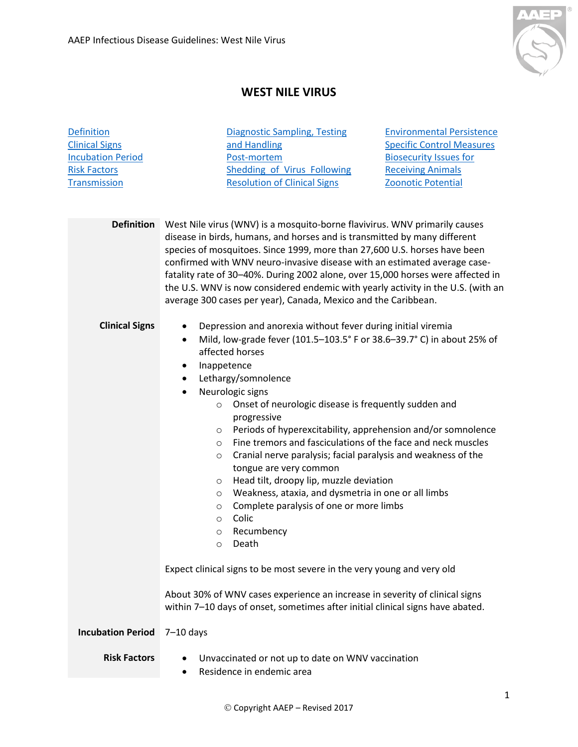

## **WEST NILE VIRUS**

<span id="page-0-1"></span><span id="page-0-0"></span>

| <b>Definition</b><br><b>Clinical Signs</b> | <b>Diagnostic Sampling, Testing</b><br><b>Environmental Persistence</b><br><b>Specific Control Measures</b><br>and Handling                                                                                                                                                                                                                                                                     |  |
|--------------------------------------------|-------------------------------------------------------------------------------------------------------------------------------------------------------------------------------------------------------------------------------------------------------------------------------------------------------------------------------------------------------------------------------------------------|--|
| <b>Incubation Period</b>                   | <b>Biosecurity Issues for</b><br>Post-mortem                                                                                                                                                                                                                                                                                                                                                    |  |
| <b>Risk Factors</b>                        | <b>Shedding of Virus Following</b><br><b>Receiving Animals</b>                                                                                                                                                                                                                                                                                                                                  |  |
| Transmission                               | <b>Resolution of Clinical Signs</b><br>Zoonotic Potential                                                                                                                                                                                                                                                                                                                                       |  |
| <b>Definition</b>                          | West Nile virus (WNV) is a mosquito-borne flavivirus. WNV primarily causes<br>disease in birds, humans, and horses and is transmitted by many different                                                                                                                                                                                                                                         |  |
|                                            | species of mosquitoes. Since 1999, more than 27,600 U.S. horses have been<br>confirmed with WNV neuro-invasive disease with an estimated average case-<br>fatality rate of 30-40%. During 2002 alone, over 15,000 horses were affected in<br>the U.S. WNV is now considered endemic with yearly activity in the U.S. (with an<br>average 300 cases per year), Canada, Mexico and the Caribbean. |  |
| <b>Clinical Signs</b>                      | Depression and anorexia without fever during initial viremia<br>$\bullet$<br>Mild, low-grade fever (101.5-103.5° F or 38.6-39.7° C) in about 25% of<br>$\bullet$<br>affected horses                                                                                                                                                                                                             |  |
|                                            | Inappetence<br>٠                                                                                                                                                                                                                                                                                                                                                                                |  |
|                                            | Lethargy/somnolence<br>$\bullet$                                                                                                                                                                                                                                                                                                                                                                |  |
|                                            | Neurologic signs<br>$\bullet$                                                                                                                                                                                                                                                                                                                                                                   |  |
|                                            | Onset of neurologic disease is frequently sudden and<br>$\circ$                                                                                                                                                                                                                                                                                                                                 |  |
|                                            | progressive                                                                                                                                                                                                                                                                                                                                                                                     |  |
|                                            | Periods of hyperexcitability, apprehension and/or somnolence<br>$\circ$                                                                                                                                                                                                                                                                                                                         |  |
|                                            | Fine tremors and fasciculations of the face and neck muscles<br>$\circ$                                                                                                                                                                                                                                                                                                                         |  |
|                                            | Cranial nerve paralysis; facial paralysis and weakness of the<br>$\circ$<br>tongue are very common                                                                                                                                                                                                                                                                                              |  |
|                                            | Head tilt, droopy lip, muzzle deviation<br>$\circ$                                                                                                                                                                                                                                                                                                                                              |  |
|                                            | Weakness, ataxia, and dysmetria in one or all limbs<br>$\circ$                                                                                                                                                                                                                                                                                                                                  |  |
|                                            | Complete paralysis of one or more limbs<br>$\circ$                                                                                                                                                                                                                                                                                                                                              |  |
|                                            | Colic<br>$\circ$                                                                                                                                                                                                                                                                                                                                                                                |  |
|                                            | Recumbency<br>$\circ$                                                                                                                                                                                                                                                                                                                                                                           |  |
|                                            | Death<br>O                                                                                                                                                                                                                                                                                                                                                                                      |  |
|                                            | Expect clinical signs to be most severe in the very young and very old                                                                                                                                                                                                                                                                                                                          |  |
|                                            | About 30% of WNV cases experience an increase in severity of clinical signs<br>within 7-10 days of onset, sometimes after initial clinical signs have abated.                                                                                                                                                                                                                                   |  |
| <b>Incubation Period</b>                   | $7-10$ days                                                                                                                                                                                                                                                                                                                                                                                     |  |
| <b>Risk Factors</b>                        | Unvaccinated or not up to date on WNV vaccination<br>٠<br>Residence in endemic area<br>٠                                                                                                                                                                                                                                                                                                        |  |

<span id="page-0-3"></span><span id="page-0-2"></span>Copyright AAEP – Revised 2017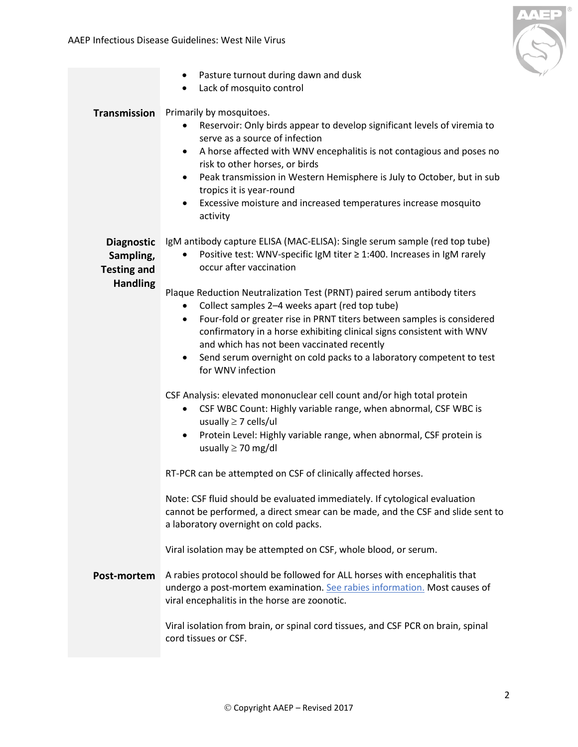

<span id="page-1-2"></span><span id="page-1-1"></span><span id="page-1-0"></span>

|                                                                         | Pasture turnout during dawn and dusk<br>$\bullet$<br>Lack of mosquito control<br>$\bullet$                                                                                                                                                                                                                                                                                                                                                                                                                                                                                                                                                                                                                                                                                                                                                                                                                                                |
|-------------------------------------------------------------------------|-------------------------------------------------------------------------------------------------------------------------------------------------------------------------------------------------------------------------------------------------------------------------------------------------------------------------------------------------------------------------------------------------------------------------------------------------------------------------------------------------------------------------------------------------------------------------------------------------------------------------------------------------------------------------------------------------------------------------------------------------------------------------------------------------------------------------------------------------------------------------------------------------------------------------------------------|
| <b>Transmission</b>                                                     | Primarily by mosquitoes.<br>Reservoir: Only birds appear to develop significant levels of viremia to<br>٠<br>serve as a source of infection<br>A horse affected with WNV encephalitis is not contagious and poses no<br>٠<br>risk to other horses, or birds<br>Peak transmission in Western Hemisphere is July to October, but in sub<br>$\bullet$<br>tropics it is year-round<br>Excessive moisture and increased temperatures increase mosquito<br>$\bullet$<br>activity                                                                                                                                                                                                                                                                                                                                                                                                                                                                |
| <b>Diagnostic</b><br>Sampling,<br><b>Testing and</b><br><b>Handling</b> | IgM antibody capture ELISA (MAC-ELISA): Single serum sample (red top tube)<br>Positive test: WNV-specific IgM titer ≥ 1:400. Increases in IgM rarely<br>occur after vaccination<br>Plaque Reduction Neutralization Test (PRNT) paired serum antibody titers<br>Collect samples 2-4 weeks apart (red top tube)<br>٠<br>Four-fold or greater rise in PRNT titers between samples is considered<br>٠<br>confirmatory in a horse exhibiting clinical signs consistent with WNV<br>and which has not been vaccinated recently<br>Send serum overnight on cold packs to a laboratory competent to test<br>$\bullet$<br>for WNV infection<br>CSF Analysis: elevated mononuclear cell count and/or high total protein<br>CSF WBC Count: Highly variable range, when abnormal, CSF WBC is<br>$\bullet$<br>usually $\geq$ 7 cells/ul<br>Protein Level: Highly variable range, when abnormal, CSF protein is<br>$\bullet$<br>usually $\geq$ 70 mg/dl |
| Post-mortem                                                             | RT-PCR can be attempted on CSF of clinically affected horses.<br>Note: CSF fluid should be evaluated immediately. If cytological evaluation<br>cannot be performed, a direct smear can be made, and the CSF and slide sent to<br>a laboratory overnight on cold packs.<br>Viral isolation may be attempted on CSF, whole blood, or serum.<br>A rabies protocol should be followed for ALL horses with encephalitis that<br>undergo a post-mortem examination. See rabies information. Most causes of<br>viral encephalitis in the horse are zoonotic.<br>Viral isolation from brain, or spinal cord tissues, and CSF PCR on brain, spinal<br>cord tissues or CSF.                                                                                                                                                                                                                                                                         |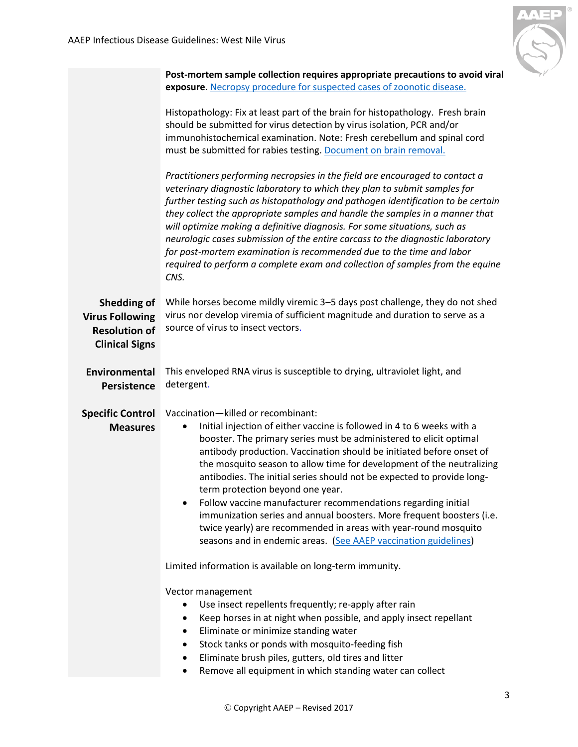

<span id="page-2-2"></span><span id="page-2-1"></span><span id="page-2-0"></span>

|                                                                                        | Post-mortem sample collection requires appropriate precautions to avoid viral                                                                                                                                                                                                                                                                                                                                                                                                                                                                                                                                                                                                                                                     |
|----------------------------------------------------------------------------------------|-----------------------------------------------------------------------------------------------------------------------------------------------------------------------------------------------------------------------------------------------------------------------------------------------------------------------------------------------------------------------------------------------------------------------------------------------------------------------------------------------------------------------------------------------------------------------------------------------------------------------------------------------------------------------------------------------------------------------------------|
|                                                                                        | exposure. Necropsy procedure for suspected cases of zoonotic disease.                                                                                                                                                                                                                                                                                                                                                                                                                                                                                                                                                                                                                                                             |
|                                                                                        | Histopathology: Fix at least part of the brain for histopathology. Fresh brain<br>should be submitted for virus detection by virus isolation, PCR and/or<br>immunohistochemical examination. Note: Fresh cerebellum and spinal cord<br>must be submitted for rabies testing. Document on brain removal.                                                                                                                                                                                                                                                                                                                                                                                                                           |
|                                                                                        | Practitioners performing necropsies in the field are encouraged to contact a<br>veterinary diagnostic laboratory to which they plan to submit samples for<br>further testing such as histopathology and pathogen identification to be certain<br>they collect the appropriate samples and handle the samples in a manner that<br>will optimize making a definitive diagnosis. For some situations, such as<br>neurologic cases submission of the entire carcass to the diagnostic laboratory<br>for post-mortem examination is recommended due to the time and labor<br>required to perform a complete exam and collection of samples from the equine<br>CNS.                                                                     |
| Shedding of<br><b>Virus Following</b><br><b>Resolution of</b><br><b>Clinical Signs</b> | While horses become mildly viremic 3-5 days post challenge, they do not shed<br>virus nor develop viremia of sufficient magnitude and duration to serve as a<br>source of virus to insect vectors.                                                                                                                                                                                                                                                                                                                                                                                                                                                                                                                                |
| Environmental<br><b>Persistence</b>                                                    | This enveloped RNA virus is susceptible to drying, ultraviolet light, and<br>detergent.                                                                                                                                                                                                                                                                                                                                                                                                                                                                                                                                                                                                                                           |
| <b>Specific Control</b><br><b>Measures</b>                                             | Vaccination-killed or recombinant:<br>Initial injection of either vaccine is followed in 4 to 6 weeks with a<br>booster. The primary series must be administered to elicit optimal<br>antibody production. Vaccination should be initiated before onset of<br>the mosquito season to allow time for development of the neutralizing<br>antibodies. The initial series should not be expected to provide long-<br>term protection beyond one year.<br>Follow vaccine manufacturer recommendations regarding initial<br>immunization series and annual boosters. More frequent boosters (i.e.<br>twice yearly) are recommended in areas with year-round mosquito<br>seasons and in endemic areas. (See AAEP vaccination guidelines) |
|                                                                                        | Limited information is available on long-term immunity.                                                                                                                                                                                                                                                                                                                                                                                                                                                                                                                                                                                                                                                                           |
|                                                                                        | Vector management<br>Use insect repellents frequently; re-apply after rain<br>Keep horses in at night when possible, and apply insect repellant<br>Eliminate or minimize standing water<br>٠<br>Stock tanks or ponds with mosquito-feeding fish<br>٠<br>Eliminate brush piles, gutters, old tires and litter<br>Remove all equipment in which standing water can collect<br>٠                                                                                                                                                                                                                                                                                                                                                     |